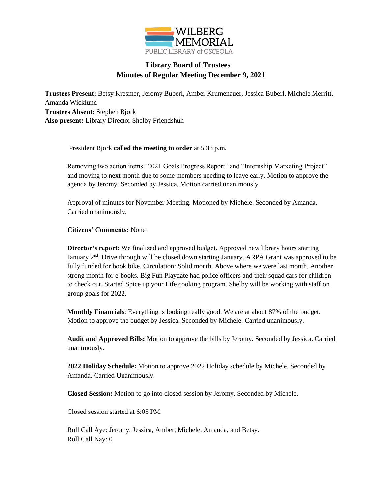

## **Library Board of Trustees Minutes of Regular Meeting December 9, 2021**

**Trustees Present:** Betsy Kresmer, Jeromy Buberl, Amber Krumenauer, Jessica Buberl, Michele Merritt, Amanda Wicklund **Trustees Absent:** Stephen Bjork **Also present:** Library Director Shelby Friendshuh

President Bjork **called the meeting to order** at 5:33 p.m.

Removing two action items "2021 Goals Progress Report" and "Internship Marketing Project" and moving to next month due to some members needing to leave early. Motion to approve the agenda by Jeromy. Seconded by Jessica. Motion carried unanimously.

Approval of minutes for November Meeting. Motioned by Michele. Seconded by Amanda. Carried unanimously.

**Citizens' Comments:** None

**Director's report**: We finalized and approved budget. Approved new library hours starting January 2<sup>nd</sup>. Drive through will be closed down starting January. ARPA Grant was approved to be fully funded for book bike. Circulation: Solid month. Above where we were last month. Another strong month for e-books. Big Fun Playdate had police officers and their squad cars for children to check out. Started Spice up your Life cooking program. Shelby will be working with staff on group goals for 2022.

**Monthly Financials**: Everything is looking really good. We are at about 87% of the budget. Motion to approve the budget by Jessica. Seconded by Michele. Carried unanimously.

**Audit and Approved Bills:** Motion to approve the bills by Jeromy. Seconded by Jessica. Carried unanimously.

**2022 Holiday Schedule:** Motion to approve 2022 Holiday schedule by Michele. Seconded by Amanda. Carried Unanimously.

**Closed Session:** Motion to go into closed session by Jeromy. Seconded by Michele.

Closed session started at 6:05 PM.

Roll Call Aye: Jeromy, Jessica, Amber, Michele, Amanda, and Betsy. Roll Call Nay: 0